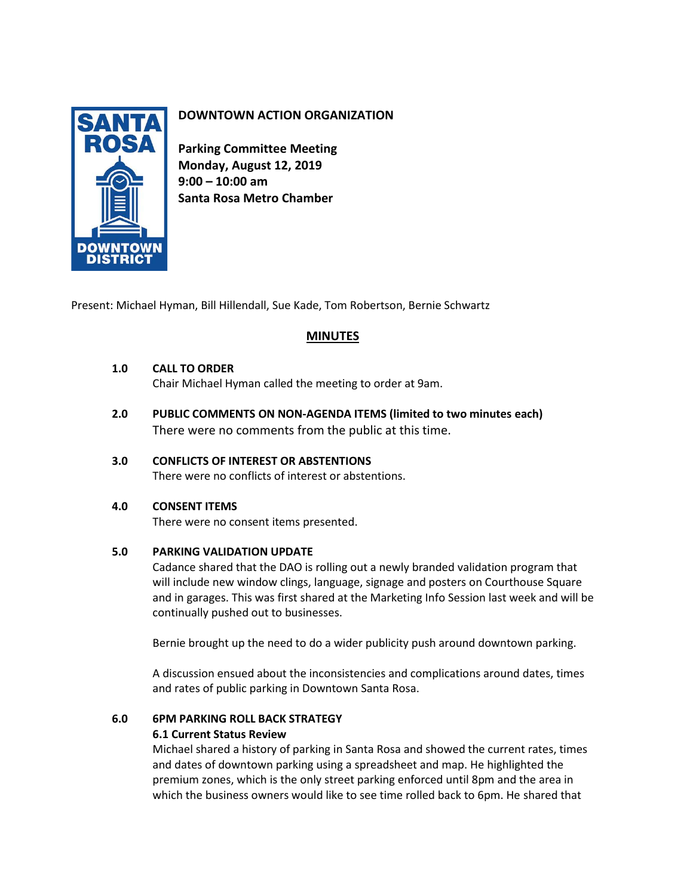

## **DOWNTOWN ACTION ORGANIZATION**

**Parking Committee Meeting Monday, August 12, 2019 9:00 – 10:00 am Santa Rosa Metro Chamber**

Present: Michael Hyman, Bill Hillendall, Sue Kade, Tom Robertson, Bernie Schwartz

## **MINUTES**

### **1.0 CALL TO ORDER**

Chair Michael Hyman called the meeting to order at 9am.

**2.0 PUBLIC COMMENTS ON NON-AGENDA ITEMS (limited to two minutes each)** There were no comments from the public at this time.

### **3.0 CONFLICTS OF INTEREST OR ABSTENTIONS**

There were no conflicts of interest or abstentions.

### **4.0 CONSENT ITEMS**

There were no consent items presented.

### **5.0 PARKING VALIDATION UPDATE**

Cadance shared that the DAO is rolling out a newly branded validation program that will include new window clings, language, signage and posters on Courthouse Square and in garages. This was first shared at the Marketing Info Session last week and will be continually pushed out to businesses.

Bernie brought up the need to do a wider publicity push around downtown parking.

A discussion ensued about the inconsistencies and complications around dates, times and rates of public parking in Downtown Santa Rosa.

# **6.0 6PM PARKING ROLL BACK STRATEGY**

## **6.1 Current Status Review**

Michael shared a history of parking in Santa Rosa and showed the current rates, times and dates of downtown parking using a spreadsheet and map. He highlighted the premium zones, which is the only street parking enforced until 8pm and the area in which the business owners would like to see time rolled back to 6pm. He shared that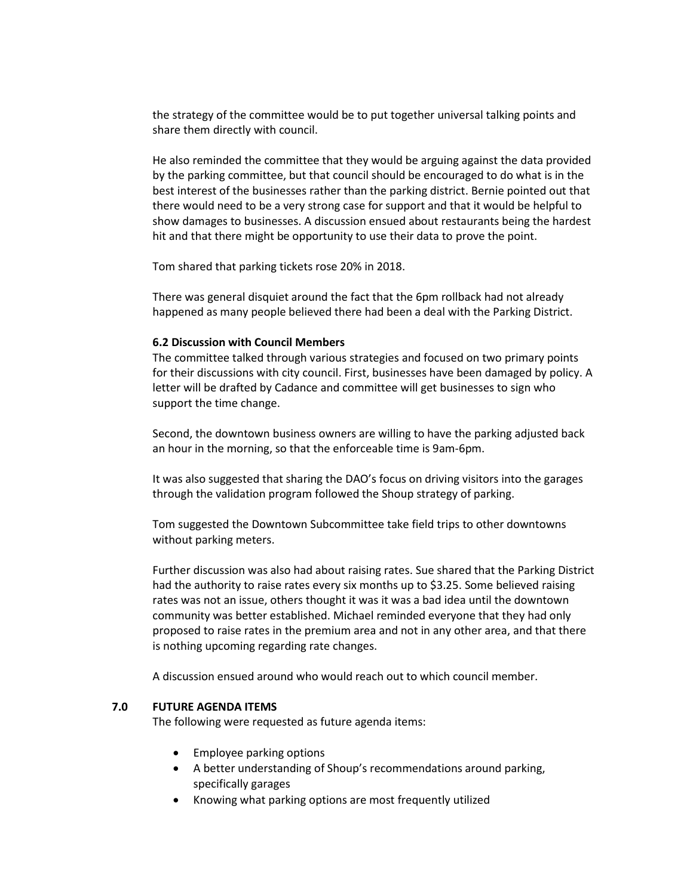the strategy of the committee would be to put together universal talking points and share them directly with council.

He also reminded the committee that they would be arguing against the data provided by the parking committee, but that council should be encouraged to do what is in the best interest of the businesses rather than the parking district. Bernie pointed out that there would need to be a very strong case for support and that it would be helpful to show damages to businesses. A discussion ensued about restaurants being the hardest hit and that there might be opportunity to use their data to prove the point.

Tom shared that parking tickets rose 20% in 2018.

There was general disquiet around the fact that the 6pm rollback had not already happened as many people believed there had been a deal with the Parking District.

### **6.2 Discussion with Council Members**

The committee talked through various strategies and focused on two primary points for their discussions with city council. First, businesses have been damaged by policy. A letter will be drafted by Cadance and committee will get businesses to sign who support the time change.

Second, the downtown business owners are willing to have the parking adjusted back an hour in the morning, so that the enforceable time is 9am-6pm.

It was also suggested that sharing the DAO's focus on driving visitors into the garages through the validation program followed the Shoup strategy of parking.

Tom suggested the Downtown Subcommittee take field trips to other downtowns without parking meters.

Further discussion was also had about raising rates. Sue shared that the Parking District had the authority to raise rates every six months up to \$3.25. Some believed raising rates was not an issue, others thought it was it was a bad idea until the downtown community was better established. Michael reminded everyone that they had only proposed to raise rates in the premium area and not in any other area, and that there is nothing upcoming regarding rate changes.

A discussion ensued around who would reach out to which council member.

#### **7.0 FUTURE AGENDA ITEMS**

The following were requested as future agenda items:

- Employee parking options
- A better understanding of Shoup's recommendations around parking, specifically garages
- Knowing what parking options are most frequently utilized